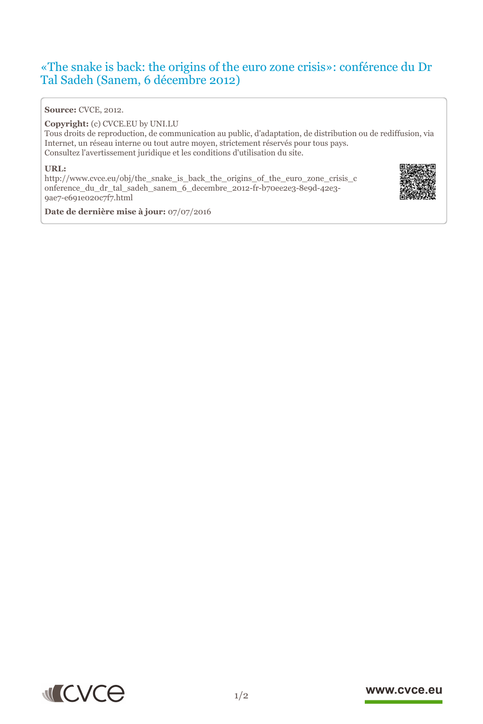## «The snake is back: the origins of the euro zone crisis»: conférence du Dr Tal Sadeh (Sanem, 6 décembre 2012)

### **Source:** CVCE, 2012.

#### **Copyright:** (c) CVCE.EU by UNI.LU

Tous droits de reproduction, de communication au public, d'adaptation, de distribution ou de rediffusion, via Internet, un réseau interne ou tout autre moyen, strictement réservés pour tous pays. Consultez l'avertissement juridique et les conditions d'utilisation du site.

#### **URL:**

http://www.cvce.eu/obj/the\_snake\_is\_back\_the\_origins\_of\_the\_euro\_zone\_crisis\_c onf[erence\\_du\\_dr\\_tal\\_sadeh\\_sanem\\_6\\_decembre\\_2012-fr-b70ee2e3-8e9d-42e3-](http://www.cvce.eu/obj/the_snake_is_back_the_origins_of_the_euro_zone_crisis_conference_du_dr_tal_sadeh_sanem_6_decembre_2012-fr-b70ee2e3-8e9d-42e3-9ae7-e691e020c7f7.html) 9ae[7-e691e020c7f7.html](http://www.cvce.eu/obj/the_snake_is_back_the_origins_of_the_euro_zone_crisis_conference_du_dr_tal_sadeh_sanem_6_decembre_2012-fr-b70ee2e3-8e9d-42e3-9ae7-e691e020c7f7.html)



**Da[te de dernière mise à](http://www.cvce.eu/obj/the_snake_is_back_the_origins_of_the_euro_zone_crisis_conference_du_dr_tal_sadeh_sanem_6_decembre_2012-fr-b70ee2e3-8e9d-42e3-9ae7-e691e020c7f7.html) jour:** 07/07/2016



### www.cvce.eu